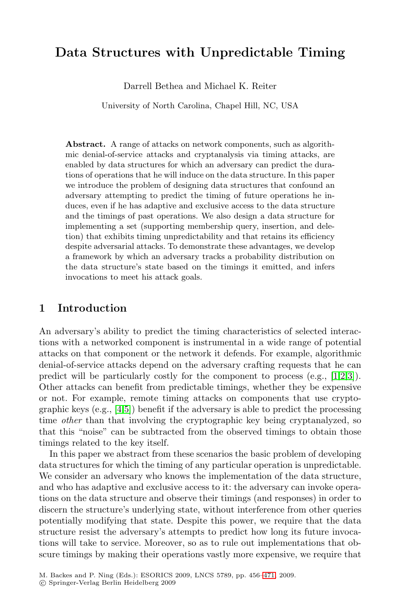# **Data Structures with Unpredictable Timing**

Darrell Bethea and Michael K. Reiter

University of North Carolina, Chapel Hill, NC, USA

<span id="page-0-0"></span>**Abstract.** A range of attacks on network components, such as algorithmic denial-of-service attacks and cryptanalysis via timing attacks, are enabled by data structures for which an adversary can predict the durations of operations that he will induce on the data structure. In this paper we introduce the problem of designing data structures that confound an adversary attempting to predict the timing of future operations he induces, even if he has adaptive and exclusive access to the data structure and the timings of past operations. We also design a data structure for implementing a set (supporting membership query, insertion, and deletion) that exhibits timing unpredictability and that retains its efficiency despite adversarial attacks. To demonstrate these advantages, we develop a framework by which an adversary tracks a probability distribution on the data structure's state based on the timings it emitted, and infers invocations to meet his attack goals.

### **1 Introduction**

An adversary's ability to predict the timing characteristics of selected interactions with a networked component is instrumental in a wide range of potential attacks on that component or the network it defends. For example, algorithmic denial-of-service attacks depend on the adversary crafting requests that he can predict will be particularly costly for the component to process  $(e.g., [1,2,3])$ . Other attacks can benefit from predictable timings, whether they be expensive or not. For example, remote timing attacks on components that use cryptographic keys (e.g., [4,5]) benefit if the adversary is able to predict the processing time *other* than that involving the cryptographic key being cryptanalyzed, so that this "noise" can be subtracted from the observed timings to obtain those timings related to the key itself.

In this paper we abstract from these scenarios the basic problem of developing data structures for which the timing of any particular operation is unpredictable. We consider an adversary who knows the implementation of the data structure, and who has adaptive and exclusive [acce](#page-15-0)ss to it: the adversary can invoke operations on the data structure and observe their timings (and responses) in order to discern the structure's underlying state, without interference from other queries potentially modifying that state. Despite this power, we require that the data structure resist the adversary's attempts to predict how long its future invocations will take to service. Moreover, so as to rule out implementations that obscure timings by making their operations vastly more expensive, we require that

M. Backes and P. Ning (Eds.): ESORICS 2009, LNCS 5789, pp. 456–471, 2009.

<sup>-</sup>c Springer-Verlag Berlin Heidelberg 2009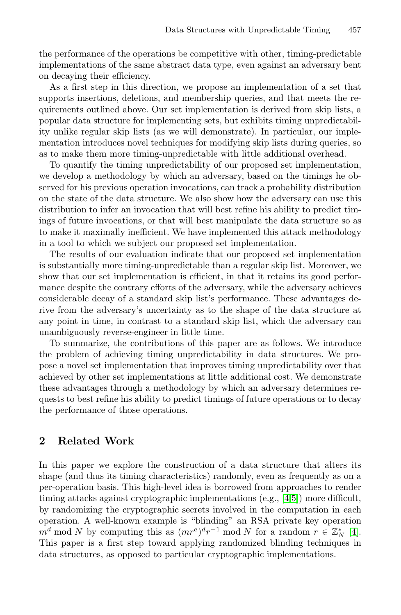the performance of the operations be competitive with other, timing-predictable implementations of the same abstract data type, even against an adversary bent on decaying their efficiency.

As a first step in this direction, we propose an implementation of a set that supports insertions, deletions, and membership queries, and that meets the requirements outlined above. Our set implementation is derived from skip lists, a popular data structure for implementing sets, but exhibits timing unpredictability unlike regular skip lists (as we will demonstrate). In particular, our implementation introduces novel techniques for modifying skip lists during queries, so as to make them more timing-unpredictable with little additional overhead.

To quantify the timing unpredictability of our proposed set implementation, we develop a methodology by which an adversary, based on the timings he observed for his previous operation invocations, can track a probability distribution on the state of the data structure. We also show how the adversary can use this distribution to infer an invocation that will best refine his ability to predict timings of future invocations, or that will best manipulate the data structure so as to make it maximally inefficient. We have implemented this attack methodology in a tool to which we subject our proposed set implementation.

The results of our evaluation indicate that our proposed set implementation is substantially more timing-unpredictable than a regular skip list. Moreover, we show that our set implementation is efficient, in that it retains its good performance despite the contrary efforts of the adversary, while the adversary achieves considerable decay of a standard skip list's performance. These advantages derive from the adversary's uncertainty as to the shape of the data structure at any point in time, in contrast to a standard skip list, which the adversary can unambiguously reverse-engineer in little time.

To summarize, the contributions of this paper are as follows. We introduce the problem of achieving timing unpredictability in data structures. We propose a novel set implementation that improves timing unpredictability over that achieved by other set implementations at little additional cost. We demonstrate these advantages through a methodology by which an adversary determines requests to best refine his ability to predict timings of future operations or to decay the performance of those operations.

# **2 Related Work**

In this paper we explore the construction of a data structure that alters its shape (and thus its timing characteristics) randomly, even as frequently as on a per-operation basis. This high-level idea is borrowed from approaches to render timing attacks against cryptographic implementations (e.g., [4,5]) more difficult, by randomizing the cryptographic secrets involved in the computation in each operation. A well-known example is "blinding" an RSA private key operation  $m^d \bmod N$  by computing this as  $(mr^e)^d r^{-1} \bmod N$  for a random  $r \in \mathbb{Z}_N^*$  [4]. This paper is a first step toward applying randomized blinding techniques in data structures, as opposed to particular cryptographic implementations.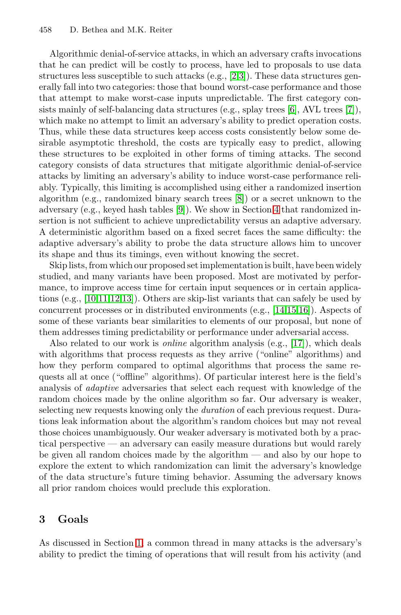Algorithmic denial-of-service attacks, in which an adversary crafts invocations that he can predict will be costly to process, have led to proposals to use data structures less susceptible to such attacks (e.g., [2,3]). These data structures generally fall into two categories: those that bound worst-case performance and those that attempt to make worst-case inputs unpredictable. The first category consists mainly of self-balancing [dat](#page-15-1)a structures (e.g., splay trees [6], AVL trees [7]), which make no [at](#page-15-2)tempt to limit an adv[er](#page-4-0)sary's ability to predict operation costs. Thus, while these data structures keep access costs consistently below some desirable asymptotic threshold, the costs are typically easy to predict, allowing these structures to be exploited in other forms of timing attacks. The second category consists of data structures that mitigate algorithmic denial-of-service attacks by limiting an adversary's ability to induce worst-case performance reliably. Typically, this limiting is accomplished using either a randomized insertion algorithm (e.g., randomized binary search trees [8]) or a secret unknown to the [a](#page-15-3)[dve](#page-15-4)rsary (e.g., keyed hash tables [9]). We show in Section 4 that randomized insertion is not sufficient to achieve unpr[edi](#page-15-5)[cta](#page-15-6)[bilit](#page-15-7)y versus an adaptive adversary. A deterministic algorithm based on a fixed secret faces the same difficulty: the adaptive adversary's ability to probe the data structure allows him to uncover its shape and thus its timings, even withou[t kn](#page-15-8)owing the secret.

Skip lists, from which our proposed set implementation is built, have been widely studied, and many variants have been proposed. Most are motivated by performance, to improve access time for certain input sequences or in certain applications (e.g., [10,11,12,13]). Others are skip-list variants that can safely be used by concurrent processes or in distributed environments (e.g., [14,15,16]). Aspects of some of these variants bear similarities to elements of our proposal, but none of them addresses timing predictability or performance under adversarial access.

<span id="page-2-0"></span>Also related to our work is *online* algorithm analysis (e.g., [17]), which deals with algorithms that process requests as they arrive ("online" algorithms) and how they perform compared to optimal algorithms that process the same requests all at once ("offline" algorithms). Of particular interest here is the field's analysis of *adaptive* adversaries that select each request with knowledge of the random choices made by the online algorithm so far. Our adversary is weaker, selecting new requests knowing only the *duration* of each previous request. Durations leak information about the algorithm's random choices but may not reveal those choices unambiguously. Our weaker adversary is motivated both by a practical perspective — an adversary can easily measure durations but would rarely be gi[ve](#page-0-0)n all random choices made by the algorithm — and also by our hope to explore the extent to which randomization can limit the adversary's knowledge of the data structure's future timing behavior. Assuming the adversary knows all prior random choices would preclude this exploration.

# **3 Goals**

As discussed in Section 1, a common thread in many attacks is the adversary's ability to predict the timing of operations that will result from his activity (and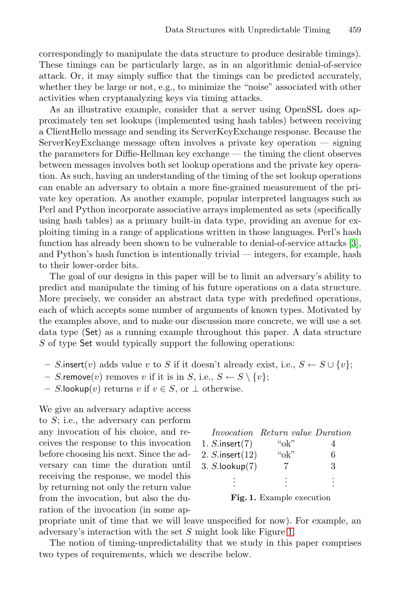correspondingly to manipulate the data structure to produce desirable timings). These timings can be particularly large, as in an algorithmic denial-of-service attack. Or, it may simply suffice that the timings can be predicted accurately, whether they be large or not, e.g., to minimize the "noise" associated with other activities when cryptanalyzing keys via timing attacks.

As an illustrative example, consider that a server using OpenSSL does approximately ten set lookups (implemented using hash tables) between receiving a ClientHello message and sending its ServerKeyExchange response. Because the ServerKeyExchange message often involves a private key operation — signing the parameters for Diffie-Hellman key exchange — the tim[in](#page-15-9)g the client observes between messages involves both set lookup operations and the private key operation. As such, having an understanding of the timing of the set lookup operations can enable an adversary to obtain a more fine-grained measurement of the private key operation. As another example, popular interpreted languages such as Perl and Python incorporate associative arrays implemented as sets (specifically using hash tables) as a primary built-in data type, providing an avenue for exploiting timing in a range of applications written in those languages. Perl's hash function has already been shown to be vulnerable to denial-of-service attacks [3], and Python's hash function is intentionally trivial — integers, for example, hash to their lower-order bits.

The goal of our designs in this paper will be to limit an adversary's ability to predict and manipulate the timing of his future operations on a data structure. More precisely, we consider an abstract data type with predefined operations, each of which accepts some number of arguments of known types. Motivated by the examples above, and to make our discussion more concrete, we will use a set data type (Set) as a running example throughout this paper. A data structure S of type Set would typically support the following operations:

- **–** S.insert(v) adds value v to S if it doesn't already exist, i.e.,  $S \leftarrow S \cup \{v\}$ ;
- **–** S.remove(v) removes v if it is in S, i.e.,  $S \leftarrow S \setminus \{v\};$
- **–** S.lookup(v) returns v if v ∈ S, or ⊥ otherwise.

We give an adversary adaptive access to  $S$ ; i.e., the adversary can perform any invocation of his choice, and receives the response to this invocation before choosing his next. Since the adversary can time the duration until receiving the response, we model this by returning not only the return value from the invocation, but also the duration of the invocation (in some ap-

<span id="page-3-0"></span>

|                            | <i>Invocation Return value Duration</i> |   |
|----------------------------|-----------------------------------------|---|
| 1. S.insert(7)             | " $\alpha$ <sup>"</sup>                 |   |
| 2. $S.\mathsf{insert}(12)$ | " $\alpha$ <sup>"</sup>                 | 6 |
| $3. S.$ lookup $(7)$       |                                         | 3 |
|                            | :                                       |   |
|                            |                                         |   |
|                            |                                         |   |

**Fig. 1.** Example execution

propriate unit of time that we will leave unspecified for now). For example, an adversary's interaction with the set S might look like Figure 1.

The notion of timing-unpredictability that we study in this paper comprises two types of requirements, which we describe below.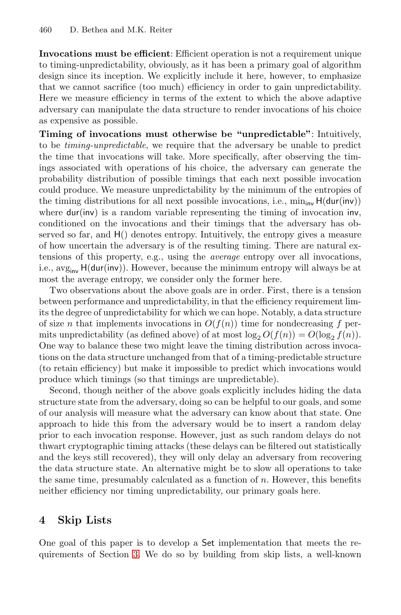**Invocations must be efficient**: Efficient operation is not a requirement unique to timing-unpredictability, obviously, as it has been a primary goal of algorithm design since its inception. We explicitly include it here, however, to emphasize that we cannot sacrifice (too much) efficiency in order to gain unpredictability. Here we measure efficiency in terms of the extent to which the above adaptive adversary can manipulate the data structure to render invocations of his choice as expensive as possible.

**Timing of invocations must otherwise be "unpredictable"**: Intuitively, to be *timing-unpredictable*, we require that the adversary be unable to predict the time that invocations will take. More specifically, after observing the timings associated with operations of his choice, the adversary can generate the probability distribution of possible timings that each next possible invocation could produce. We measure unpredictability by the minimum of the entropies of the timing distributions for all next possible invocations, i.e.,  $\min_{i} H(dur(inv))$ where dur(inv) is a random variable representing the timing of invocation inv, conditioned on the invocations and their timings that the adversary has observed so far, and H() denotes entropy. Intuitively, the entropy gives a measure of how uncertain the adversary is of the resulting timing. There are natural extensions of this property, e.g., using the *average* entropy over all invocations, i.e.,  $\arg_{inv} H(dur(inv))$ . However, because the minimum entropy will always be at most the average entropy, we consider only the former here.

Two observations about the above goals are in order. First, there is a tension between performance and unpredictability, in that the efficiency requirement limits the degree of unpredictability for which we can hope. Notably, a data structure of size n that implements invocations in  $O(f(n))$  time for nondecreasing f permits unpredictability (as defined above) of at most  $\log_2 O(f(n)) = O(\log_2 f(n)).$ One way to balance these two might leave the timing distribution across invocations on the data structure unchanged from that of a timing-predictable structure (to retain efficiency) but make it impossible to predict which invocations would produce which timings (so that timings are unpredictable).

<span id="page-4-0"></span>Second, though neither of the above goals explicitly includes hiding the data structure state from the adversary, doing so can be helpful to our goals, and some of our analysis will measure what the adversary can know about that state. One approach to hide this from the adversary would be to insert a random delay prior to each invocation response. However, just as such random delays do not thwart cryptographic timing attacks (these delays can be filtered out statistically and the keys still recovered), they will only delay an adversary from recovering the [da](#page-2-0)ta structure state. An alternative might be to slow all operations to take the same time, presumably calculated as a function of  $n$ . However, this benefits neither efficiency nor timing unpredictability, our primary goals here.

### **4 Skip Lists**

One goal of this paper is to develop a Set implementation that meets the requirements of Section 3. We do so by building from skip lists, a well-known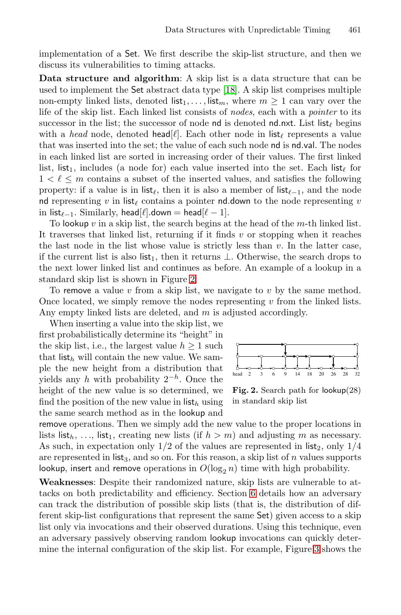implementation of a Set. We first describe the skip-list structure, and then we discuss its vulnerabilities to timing attacks.

**Data structure and algorithm**: A skip list is a data structure that can be used to implement the Set abstract data type [18]. A skip list comprises multiple non-empty linked lists, denoted  $\mathsf{list}_1, \ldots, \mathsf{list}_m$ , where  $m \geq 1$  can vary over the life of the skip list. Each linked list consists of *nodes*, each with a *pointer* to its successor in the list; the successor of node nd is denoted nd.nxt. List  $\mathsf{list}_\ell$  begins with a *head* node, denoted head [ $\ell$ ]. Each other node in list<sub> $\ell$ </sub> represents a value that was inserted into the set; the value of each such node nd is nd.val. The nodes in each linked list are sorted in increasing order of their values. The first linked list, list<sub>1</sub>, includes (a node for) each value inserted into the set. Each list<sub> $\ell$ </sub> for  $1 < \ell \leq m$  contains a subset of the inserted values, and satisfies the following property: if a val[ue](#page-5-0) is in  $\mathsf{list}_{\ell}$ , then it is also a member of  $\mathsf{list}_{\ell-1}$ , and the node nd representing  $v$  in list<sub> $\ell$ </sub> contains a pointer nd.down to the node representing  $v$ in  $\textsf{list}_{\ell-1}$ . Similarly, head $[\ell]$  down  $= \textsf{head}[\ell-1]$ .

To lookup  $v$  in a skip list, the search begins at the head of the  $m$ -th linked list. It traverses that linked list, returning if it finds  $v$  or stopping when it reaches the last node in the list whose value is strictly less than  $v$ . In the latter case, if the current list is also list<sub>1</sub>, then it returns  $\perp$ . Otherwise, the search drops to the next lower linked list and continues as before. An example of a lookup in a standard skip list is shown in Figure 2.

To remove a value v from a skip list, we navigate to v by the same method. Once located, we simply remove the nodes representing  $\nu$  from the linked lists. Any empty linked lists are deleted, and  $m$  is adjusted accordingly.

When inserting a value into the skip list, we first probabilistically determine its "height" in the skip list, i.e., the largest value  $h \geq 1$  such that list<sub>h</sub> will contain the new value. We sample the new height from a distribution that yields any h with probability  $2^{-h}$ . Once the height of the new value is so determined, we find the position of the new value [in](#page-8-0) list<sub>h</sub> using the same search method as in the lookup and

<span id="page-5-0"></span>

**Fig. 2.** Search path for lookup(28) in standard skip list

remove operations. Then we simply add the new value to the proper locations in lists list<sub>h</sub>, ..., list<sub>1</sub>, creating new lists (if  $h>m$ ) and adjusting m as necessary. As such, in expectation only  $1/2$  of the values are represented in list<sub>2</sub>, only  $1/4$ are represented in  $list_3$ [, a](#page-6-0)nd so on. For this reason, a skip list of n values supports lookup, insert and remove operations in  $O(\log_2 n)$  time with high probability.

**Weaknesses**: Despite their randomized nature, skip lists are vulnerable to attacks on both predictability and efficiency. Section 6 details how an adversary can track the distribution of possible skip lists (that is, the distribution of different skip-list configurations that represent the same Set) given access to a skip list only via invocations and their observed durations. Using this technique, even an adversary passively observing random lookup invocations can quickly determine the internal configuration of the skip list. For example, Figure 3 shows the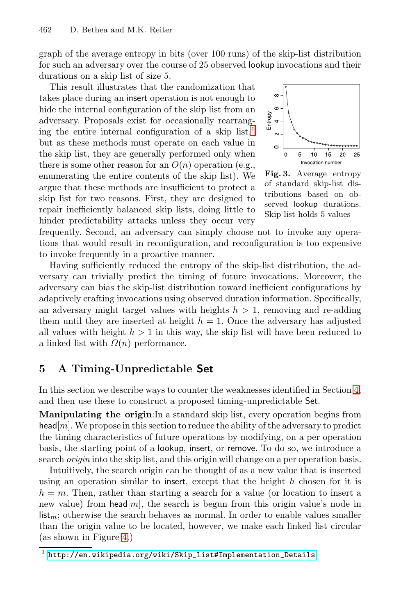graph of the average entropy in [bit](#page-6-1)s (over 100 runs) of the skip-list distribution for such an adversary over the course of 25 observed lookup invocations and their durations on a skip list of size 5.

This result illustrates that the randomization that takes place during an insert operation is not enough to hide the internal configuration of the skip list from an adversary. Proposals exist for occasionally rearranging the entire internal configuration of a skip list.<sup>1</sup> but as these methods must operate on each value in the skip list, they are generally performed only when there is some other reason for an  $O(n)$  operation (e.g., enumerating the entire contents of the skip list). We argue that these methods are insufficient to protect a skip list for two reasons. First, they are designed to repair inefficiently balanced skip lists, doing little to hinder predictability attacks unless they occur very

<span id="page-6-0"></span>

**Fig. 3.** Average entropy of standard skip-list distributions based on observed lookup durations. Skip list holds 5 values

frequently. Second, an adversary can simply choose not to invoke any operations that would result in reconfiguration, and reconfiguration is too expensive to invoke frequently in a proactive manner.

<span id="page-6-2"></span>Having sufficiently reduced the entropy of the skip-list distribution, the adversary can trivially predict the timing of future invocations. Moreover, the adversary can bias the skip-list distribution toward inefficient configurations by adaptively crafting invocations using observed duration inf[orm](#page-4-0)ation. Specifically, an adversary might target values with heights  $h > 1$ , removing and re-adding them until they are inserted at height  $h = 1$ . Once the adversary has adjusted all values with height  $h > 1$  in this way, the skip list will have been reduced to a linked list with  $\Omega(n)$  performance.

### **5 A Timing-Unpredictable Set**

In this section we describe ways to counter the weaknesses identified in Section 4, and then use these to construct a proposed timing-unpredictable Set.

**Manipulating the origin**:In a standard skip list, every operation begins from  $\text{head}[m]$ . We propose in this section to reduce the ability of the adversary to predict the timing characteristics of future operations by modifying, on a per operation b[as](#page-7-0)is, the starting point of a lookup, insert, or remove. To do so, we introduce a search *origin* into the skip list, and this origin will change on a per operation basis.

<span id="page-6-1"></span>[Intuitively, the search origin can be thought of a](http://en.wikipedia.org/wiki/Skip_list#Implementation_Details)s a new value that is inserted using an operation similar to insert, except that the height  $h$  chosen for it is  $h = m$ . Then, rather than starting a search for a value (or location to insert a new value) from head $[m]$ , the search is begun from this origin value's node in  $list_m$ ; otherwise the search behaves as normal. In order to enable values smaller than the origin value to be located, however, we make each linked list circular (as shown in Figure 4.)

 $^{\rm 1}$ http://en.wikipedia.org/wiki/Skip\_list#Implementation\_Details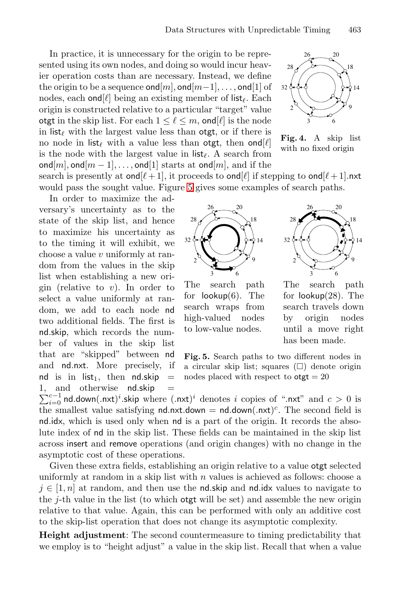In practice, it is unnecessary for the origin to be represented using its own nodes, and doing so would incur heavier operation costs than are necessary. Instead, we define the origin to be a sequence ond[m], ond[m−1],..., ond[1] of nodes, each ond [ $\ell$ [\] b](#page-7-1)eing an existing member of list<sub> $\ell$ </sub>. Each origin is constructed relative to a particular "target" value otgt in the skip list. For each  $1 \leq \ell \leq m$ , ond $[\ell]$  is the node in list<sub> $\ell$ </sub> with the largest value less than otgt, or if there is no node in list<sub>l</sub> with a value less than  $\mathsf{otgt},$  then  $\mathsf{ond}[\ell]$ is the node with the largest value in  $list_{\ell}$ . A search from ond[m], ond[m – 1],..., ond[1] starts at ond[m], and if the

<span id="page-7-0"></span>

**Fig. 4.** A skip list with no fixed origin

search is presently at  $\textsf{ond}[\ell+1]$ , it proceeds to  $\textsf{ond}[\ell]$  if stepping to  $\textsf{ond}[\ell+1]$ .nxt would pass the sought value. Figure 5 gives some examples of search paths.

In order to maximize the adversary's uncertainty as to the state of the skip list, and hence to maximize his uncertainty as to the timing it will exhibit, we choose a value v uniformly at random from the values in the skip list when establishing a new origin (relative to  $v$ ). In order to select a value uniformly at random, we add to each node nd two additional fields. The first is nd.skip, which records the number of values in the skip list that are "skipped" between nd and nd.nxt. More precisely, if nd is in list<sub>1</sub>, then nd.skip =



<span id="page-7-1"></span>The search path for  $lookup(6)$ . The search wraps from high-valued nodes to low-value nodes.

The search path for  $lookup(28)$ . The search travels down by origin nodes until a move right has been made.



1, and otherwise nd.skip =  $\sum_{i=0}^{c-1}$  nd.down(.nxt)<sup>*i*</sup>.skip where (.nxt)<sup>*i*</sup> denotes *i* copies of ".nxt" and *c* > 0 is the smallest value satisfying  $nd.nxt.down = nd.down(nxt)^c$ . The second field is nd.idx, which is used only when nd is a part of the origin. It records the absolute index of nd in the skip list. These fields can be maintained in the skip list across insert and remove operations (and origin changes) with no change in the asymptotic cost of these operations.

Given these extra fields, establishing an origin relative to a value otgt selected uniformly at random in a skip list with  $n$  values is achieved as follows: choose a  $j \in [1, n]$  at random, and then use the nd.skip and nd.idx values to navigate to the  $j$ -th value in the list (to which otgt will be set) and assemble the new origin relative to that value. Again, this can be performed with only an additive cost to the skip-list operation that does not change its asymptotic complexity.

**Height adjustment**: The second countermeasure to timing predictability that we employ is to "height adjust" a value in the skip list. Recall that when a value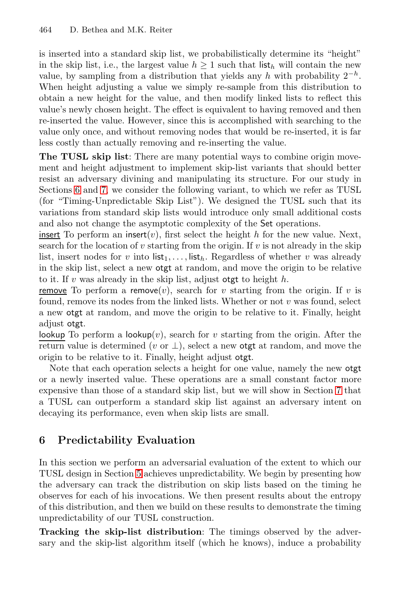is inserted into a standard skip list, we probabilistically determine its "height" in the skip list, i.e., the largest value  $h \geq 1$  such that list<sub>h</sub> will contain the new value, by sampling from a distribution that yields any h with probability  $2^{-h}$ . When height adjusting a value we simply re-sample from this distribution to obtain a new height for the value, and then modify linked lists to reflect this value's newly chosen height. The effect is equivalent to having removed and then re-inserted the value. However, since this is accomplished with searching to the value only once, and without removing nodes that would be re-inserted, it is far less costly than actually removing and re-inserting the value.

**The TUSL skip list**: There are many potential ways to combine origin movement and height adjustment to implement skip-list variants that should better resist an adversary divining and manipulating its structure. For our study in Sections 6 and 7, we consider the following variant, to which we refer as TUSL (for "Timing-Unpredictable Skip List"). We designed the TUSL such that its variations from standard skip lists would introduce only small additional costs and also not change the asymptotic complexity of the Set operations.

insert To perform an insert $(v)$ , first select the height h for the new value. Next, search for the location of  $v$  starting from the origin. If  $v$  is not already in the skip list, insert nodes for v into list<sub>1</sub>,..., list<sub>h</sub>. Regardless of whether v was already in the skip list, select a new otgt at random, and move the origin to be relative to it. If  $v$  was already in the skip list, adjust otgt to height  $h$ .

remove To perform a remove(v), search for v starting from the origin. If v is found, remove its nodes from the linked lists. Whether [or](#page-12-0) not  $v$  was found, select a new otgt at random, and move the origin to be relative to it. Finally, height adjust otgt.

<span id="page-8-0"></span>lookup To perform a lookup $(v)$ , search for v starting from the origin. After the return value is determined (v or  $\perp$ ), select a new otgt at random, and move the origin to be relative to it. Finally, height adjust otgt.

Note that each operation selects a height for one value, namely the new otgt or a newly inserted value. These operations are a small constant factor more expe[ns](#page-6-2)ive than those of a standard skip list, but we will show in Section 7 that a TUSL can outperform a standard skip list against an adversary intent on decaying its performance, even when skip lists are small.

# **6 Predictability Evaluation**

In this section we perform an adversarial evaluation of the extent to which our TUSL design in Section 5 achieves unpredictability. We begin by presenting how the adversary can track the distribution on skip lists based on the timing he observes for each of his invocations. We then present results about the entropy of this distribution, and then we build on these results to demonstrate the timing unpredictability of our TUSL construction.

**Tracking the skip-list distribution**: The timings observed by the adversary and the skip-list algorithm itself (which he knows), induce a probability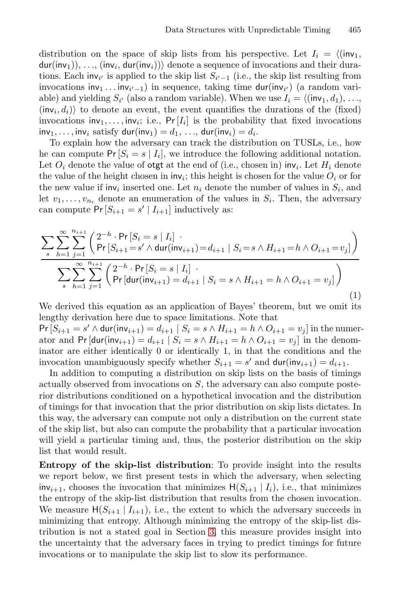distribution on the space of skip lists from his perspective. Let  $I_i = \langle (inv_1,$  $dur(inv<sub>1</sub>)), ..., (inv<sub>i</sub>, dur(inv<sub>i</sub>))$  denote a sequence of invocations and their durations. Each  $\text{inv}_{i'}$  is applied to the skip list  $S_{i'-1}$  (i.e., the skip list resulting from invocations  $inv_1 \dots inv_{i'-1}$ ) in sequence, taking time  $dur(nv_{i'})$  (a random variable) and yielding  $S_{i'}$  (also a random variable). When we use  $I_i = \langle (\mathsf{inv}_1, d_1), \ldots,$  $(\mathsf{inv}_i, d_i)$  to denote an event, the event quantifies the durations of the (fixed) invocations  $inv_1, \ldots, inv_i$ ; i.e.,  $Pr[I_i]$  is the probability that fixed invocations  $inv_1, \ldots, inv_i$  satisfy dur(inv<sub>1</sub>) =  $d_1, \ldots,$  dur(inv<sub>i</sub>) =  $d_i$ .

<span id="page-9-0"></span>To explain how the adversary can track the distribution on TUSLs, i.e., how he can compute Pr  $[S_i = s | I_i]$ , we introduce the following additional notation. Let  $O_i$  denote the value of otgt at the end of (i.e., chosen in) inv<sub>i</sub>. Let  $H_i$  denote the value of the height chosen in  $inv_i$ ; this height is chosen for the value  $O_i$  or for the new value if inv<sub>i</sub> inserted one. Let  $n_i$  denote the number of values in  $S_i$ , and let  $v_1, \ldots, v_{n_i}$  denote an enumeration of the values in  $S_i$ . Then, the adversary can compute Pr  $[S_{i+1} = s' | I_{i+1}]$  inductively as:

$$
\frac{\sum_{s} \sum_{h=1}^{\infty} \sum_{j=1}^{n_{i+1}} \left( 2^{-h} \cdot \Pr\left[S_i = s \mid I_i\right] \cdot \left( \Pr\left[S_{i+1} = s' \land \text{dur}(\text{inv}_{i+1}) = d_{i+1} \mid S_i = s \land H_{i+1} = h \land O_{i+1} = v_j \right) \right)}{\sum_{s} \sum_{h=1}^{\infty} \sum_{j=1}^{n_{i+1}} \left( 2^{-h} \cdot \Pr\left[S_i = s \mid I_i\right] \cdot \left( \Pr\left[\text{dur}(\text{inv}_{i+1}) = d_{i+1} \mid S_i = s \land H_{i+1} = h \land O_{i+1} = v_j \right] \right)} \right)
$$
\n(1)

We derived this equation as an application of Bayes' theorem, but we omit its lengthy derivation here due to space limitations. Note that

 $Pr [S_{i+1} = s' \wedge dur(inv_{i+1}) = d_{i+1} | S_i = s \wedge H_{i+1} = h \wedge O_{i+1} = v_i]$  in the numerator and Pr  $[dur(inv_{i+1}) = d_{i+1} | S_i = s \wedge H_{i+1} = h \wedge O_{i+1} = v_i]$  in the denominator are either identically 0 or identically 1, in that the conditions and the invocation unambiguously specify whether  $S_{i+1} = s'$  and  $\text{dur}(inv_{i+1}) = d_{i+1}$ .

In addition to computing a distribution on skip lists on the basis of timings actually observed from invocations on  $S$ , the adversary can also compute posterior distributions conditioned on a hypothetical invocation and the distribution of timings for that invocation that the prior distribution on skip lists dictates. In this way, the adversary can compute not only a distribution on the current state of the skip list, but also can compute the probability that a particular invocation will yield a particular [tim](#page-2-0)ing and, thus, the posterior distribution on the skip list that would result.

**Entropy of the skip-list distribution**: To provide insight into the results we report below, we first present tests in which the adversary, when selecting inv<sub>i+1</sub>, chooses the invocation that minimizes  $H(S_{i+1} | I_i)$ , i.e., that minimizes the entropy of the skip-list distribution that results from the chosen invocation. We measure  $H(S_{i+1} | I_{i+1}),$  i.e., the extent to which the adversary succeeds in minimizing that entropy. Although minimizing the entropy of the skip-list distribution is not a stated goal in Section 3, this measure provides insight into the uncertainty that the adversary faces in trying to predict timings for future invocations or to manipulate the skip list to slow its performance.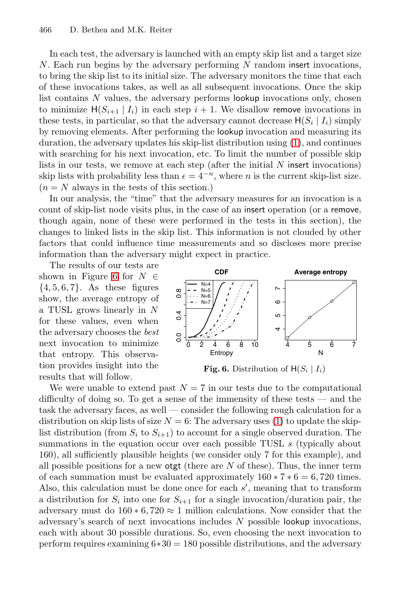In each test, the adversary is launched wi[th](#page-9-0) an empty skip list and a target size  $N$ . Each run begins by the adversary performing  $N$  random insert invocations, to bring the skip list to its initial size. The adversary monitors the time that each of these invocations takes, as well as all subsequent invocations. Once the skip list contains  $N$  values, the adversary performs lookup invocations only, chosen to minimize  $H(S_{i+1} | I_i)$  in each step  $i + 1$ . We disallow remove invocations in these tests, in particular, so that the adversary cannot decrease  $H(S_i | I_i)$  simply by removing elements. After performing the lookup invocation and measuring its duration, the adversary updates his skip-list distribution using (1), and continues with searching for his next invocation, etc. To limit the number of possible skip lists in our tests, we remove at each step (after the initial  $N$  insert invocations) skip lists with probability less than  $\epsilon = 4^{-n}$ , where *n* is the current skip-list size.  $(n = N$  $(n = N$  always in the tests of this section.)

In our analysis, the "time" that the adversary measures for an invocation is a count of skip-list node visits plus, in the case of an insert operation (or a remove, though again, none of these were performed in the tests in this section), the changes to linked lists in the skip list. This information is not clouded by other factors that could influence time measurements and so discloses more precise information than the adversary might expect in practice.

The results of our tests are shown in Figure 6 for  $N \in$  $\{4, 5, 6, 7\}$ . As these figures show, the average entropy of a TUSL grows linearly in N for these values, even when the adversary chooses the *best* next invocation to minimize that entropy. This observation provides insight into the results that will follow.

<span id="page-10-0"></span>

**Fig. 6.** Distribution of  $H(S_i | I_i)$ 

We were unable to extend past  $N = 7$  in our tests due to the computational difficulty of doing so. To get a sense of the immensity of these tests — and the task the adversary faces, as well — consider the following rough calculation for a distribution on skip lists of size  $N = 6$ : The adversary uses (1) to update the skiplist distribution (from  $S_i$  to  $S_{i+1}$ ) to account for a single observed duration. The summations in the equation occur over each possible TUSL s (typically about 160), all sufficiently plausible heights (we consider only 7 for this example), and all possible positions for a new  $\det$  (there are N of these). Thus, the inner term of each summation must be evaluated approximately  $160 * 7 * 6 = 6,720$  times. Also, this calculation must be done once for each  $s'$ , meaning that to transform a distribution for  $S_i$  into one for  $S_{i+1}$  for a single invocation/duration pair, the adversary must do  $160 * 6,720 \approx 1$  million calculations. Now consider that the adversary's search of next invocations includes N possible lookup invocations, each with about 30 possible durations. So, even choosing the next invocation to perform requires examining  $6*30 = 180$  possible distributions, and the adversary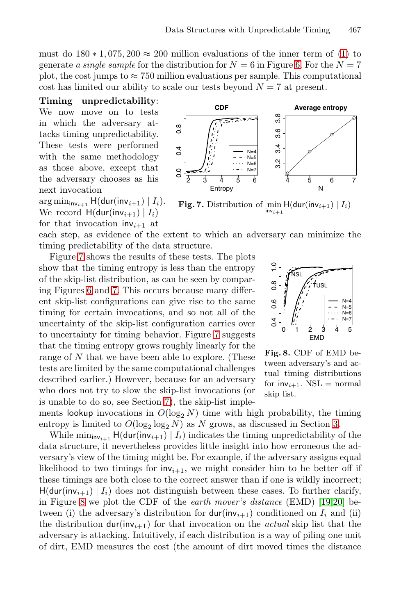must do  $180 * 1,075,200 \approx 200$  million evaluations of the inner term of (1) to generate *a single sample* for the distribution for  $N = 6$  in Figure 6. For the  $N = 7$ plot, the cost jumps to  $\approx 750$  million evaluations per sample. This computational cost has limited our ability to scale our tests beyond  $N = 7$  at present.

#### **Timing unpredictability**:

We now move on to tests in which the adversary attacks timing unpredictability. These tests were performed with the same methodology as those above, except that the adversary chooses as his next invocation

<span id="page-11-0"></span>

 $\arg \min_{\mathsf{inv}_{i+1}} \mathsf{H}(\mathsf{dur}(\mathsf{inv}_{i+1}) \mid I_i).$  $\arg \min_{\mathsf{inv}_{i+1}} \mathsf{H}(\mathsf{dur}(\mathsf{inv}_{i+1}) \mid I_i).$  $\arg \min_{\mathsf{inv}_{i+1}} \mathsf{H}(\mathsf{dur}(\mathsf{inv}_{i+1}) \mid I_i).$ We record  $H(\text{dur}(inv_{i+1}) | I_i)$ for that invocation  $inv_{i+1}$  at

**Fig. 7.** Distribution of  $\min_{\text{inv}_{i+1}} H(\text{dur}(\text{inv}_{i+1}) | I_i)$ 

each step, as evidence of the extent to which an adversary can minimize the timing predictability of [th](#page-11-0)e data structure.

Figure 7 shows the results of these tests. The plots show that the timing entropy is less than the entropy of the skip-list distribution, as can be seen by comparing Figures 6 and 7. This occurs because many different skip-list configurations can give rise to the same timing for [cer](#page-12-0)tain invocations, and so not all of the uncertainty of the skip-list configuration carries over to uncertainty for timing behavior. Figure 7 suggests that the timing entropy grows roughly linearly for the range of  $N$  that we have been able to explore. (These tests are limited by the same computational challenges described earlier.) However, because for an adversary who does not try to slow the skip-list invocations (or is unable to do so, see Section 7), the skip-list imple-

<span id="page-11-1"></span>

**Fig. 8.** CDF of EMD between adversary's and actual timing distributions for  $inv_{i+1}$ . NSL = normal skip list.

ments lookup invocations in  $O(\log_2 N)$  time with [hi](#page-15-10)[gh](#page-15-11) probability, the timing entropy is limited to  $O(\log_2 \log_2 N)$  as N grows, as discussed in Section 3.

While  $\min_{\mathsf{inv}_{i+1}} \mathsf{H}(\mathsf{dur}(\mathsf{inv}_{i+1}) \mid I_i)$  indicates the timing unpredictability of the data structure, it nevertheless provides little insight into how erroneous the adversary's view of the timing might be. For example, if the adversary assigns equal likelihood to two timings for  $inv_{i+1}$ , we might consider him to be better off if these timings are both close to the correct answer than if one is wildly incorrect;  $H(dur(inv_{i+1}) | I_i)$  does not distinguish between these cases. To further clarify, in Figure 8 we plot the CDF of the *earth mover's distance* (EMD) [19,20] between (i) the adversary's distribution for  $dur(inv_{i+1})$  conditioned on  $I_i$  and (ii) the distribution  $dur(inv_{i+1})$  for that invocation on the *actual* skip list that the adversary is attacking. Intuitively, if each distribution is a way of piling one unit of dirt, EMD measures the cost (the amount of dirt moved times the distance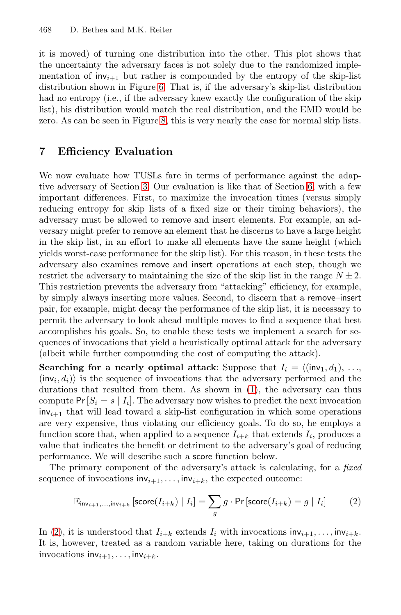<span id="page-12-0"></span>it is moved) of turning one distribution into the other. This plot shows that the uncertainty the adversary faces is not solely due to the randomized implementation of  $inv_{i+1}$  but rather is compounded by the entropy of the skip-list distribution shown in Figure 6. That is, if the adversary's skip-list distribution had n[o e](#page-2-0)ntropy (i.e., if the adversary knew exa[ctl](#page-8-0)y the configuration of the skip list), his distribution would match the real distribution, and the EMD would be zero. As can be seen in Figure 8, this is very nearly the case for normal skip lists.

### **7 Efficiency Evaluation**

We now evaluate how TUSLs fare in terms of performance against the adaptive adversary of Section 3. Our evaluation is like that of Section 6, with a few important differences. First, to maximize the invocation times (versus simply reducing entropy for skip lists of a fixed size or their timing behaviors), the adversary must be allowed to remove and insert elements. For example, an adversary might prefer to remove an element that he discerns to have a large height in the skip list, in an effort to make all elements have the same height (which yields worst-case performance for the skip list). For this reason, in these tests the adversary also examines remove and insert operations at each step, though we restrict the adversary to maintaining the size of the skip list in the range  $N \pm 2$ . This restriction prevents the adversary from "attacking" efficiency, for example, by simply always inserting more [va](#page-9-0)lues. Second, to discern that a remove–insert pair, for example, might decay the performance of the skip list, it is necessary to permit the adversary to look ahead multiple moves to find a sequence that best accomplishes his goals. So, to enable these tests we implement a search for sequences of invocations that yield a heuristically optimal attack for the adversary (albeit while further compounding the cost of computing the attack).

<span id="page-12-1"></span>**Searching for a nearly optimal attack:** Suppose that  $I_i = \langle (inv_1, d_1), \ldots, (inv_m, d_m) \rangle$  $\langle \mathsf{inv}_i, d_i \rangle$  is the sequence of invocations that the adversary performed and the durations that resulted from them. As shown in (1), the adversary can thus compute Pr  $[S_i = s | I_i]$ . The adversary now wishes to predict the next invocation  $inv_{i+1}$  that will lead toward a skip-list configuration in which some operations are very expensive, thus violating our efficiency goals. To do so, he employs a function score that, when applied to a sequence  $I_{i+k}$  that extends  $I_i$ , produces a value that indicates the benefit or detriment to the adversary's goal of reducing performance. We will describe such a score function below.

The primary component of the adversary's attack is calculating, for a *fixed* sequence of invocations  $inv_{i+1}, \ldots, inv_{i+k}$ , the expected outcome:

$$
\mathbb{E}_{\mathsf{inv}_{i+1},\dots,\mathsf{inv}_{i+k}}\left[\mathsf{score}(I_{i+k}) \mid I_i\right] = \sum_{g} g \cdot \mathsf{Pr}\left[\mathsf{score}(I_{i+k}) = g \mid I_i\right] \tag{2}
$$

In (2), it is understood that  $I_{i+k}$  extends  $I_i$  with invocations  $inv_{i+1},\ldots,inv_{i+k}$ . It is, however, treated as a random variable here, taking on durations for the invocations  $inv_{i+1}, \ldots, inv_{i+k}$ .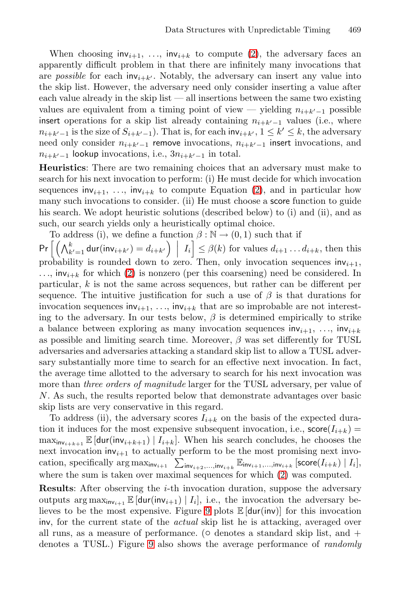When choosing  $inv_{i+1}$ , ...,  $inv_{i+k}$  to compute (2), the adversary faces an apparently difficult problem in that there are infinitely many invocations that are *possible* for each  $\text{inv}_{i+k'}$ . Notably, the adversary can insert any value into the skip list. However, the adversary need only consider inserting a value after each value already in the skip list — all insertions between the same two existing values are equivalent from a timi[ng](#page-12-1) point of view — yielding  $n_{i+k'-1}$  possible insert operations for a skip list already containing  $n_{i+k'-1}$  values (i.e., where  $n_{i+k'-1}$  is the size of  $S_{i+k'-1}$ ). That is, for each  $\text{inv}_{i+k'}$ ,  $1 \leq k' \leq k$ , the adversary need only consider  $n_{i+k'-1}$  remove invocations,  $n_{i+k'-1}$  insert invocations, and  $n_{i+k'-1}$  lookup invocations, i.e.,  $3n_{i+k'-1}$  in total.

**Heuristics**: There are two remaining choices that an adversary must make to search for his next invocation to perform: (i) He must decide for which invocation se[qu](#page-12-1)ences  $inv_{i+1}, \ldots$ ,  $inv_{i+k}$  to compute Equation (2), and in particular how many such invocations to consider. (ii) He must choose a score function to guide his search. We adopt heuristic solutions (described below) to (i) and (ii), and as such, our search yields only a heuristically optimal choice.

To address (i), we define a function  $\beta : \mathbb{N} \to (0, 1)$  such that if

 $Pr\left[\left(\bigwedge_{k'=1}^{k} \text{dur}(inv_{i+k'}) = d_{i+k'}\right) \mid I_i\right] \leq \beta(k)$  for values  $d_{i+1} \dots d_{i+k}$ , then this probability is rounded down to zero. Then, only invocation sequences  $inv_{i+1}$ ,  $..., inv_{i+k}$  for which (2) is nonzero (per this coarsening) need be considered. In particular, k is not the same across sequences, but rather can be different per sequence. The intuitive justification for such a use of  $\beta$  is that durations for invocation sequences  $inv_{i+1}, \ldots$ ,  $inv_{i+k}$  that are so improbable are not interesting to the adversary. In our tests below,  $\beta$  is determined empirically to strike a balance between exploring as many invocation sequences  $inv_{i+1}, \ldots$ ,  $inv_{i+k}$ as possible and limiting search time. Moreover,  $\beta$  was set differently for TUSL adversaries and adversaries attacking a standard skip list to allow a TUSL adversary substantially more time to search for an effective next invocation. In fact, the average time allotted to the adversary to search for his next invocation was more than *three orders of magnitude* lar[ger](#page-12-1) for the TUSL adversary, per value of N. As such, the results reported below that demonstrate advantages over basic skip lists are very conservative in this regard.

To address (ii), the adversary scores  $I_{i+k}$  on the basis of the expected duration it induc[e](#page-14-0)s for the [m](#page-14-0)ost expensive subsequent invocation, i.e.,  $\mathsf{score}(I_{i+k}) =$  $\max_{\mathsf{inv}_{i+k+1}} \mathbb{E}[\mathsf{dur}(\mathsf{inv}_{i+k+1}) \mid I_{i+k}]$ . When his search concludes, he chooses the next invocation  $\text{inv}_{i+1}$  to actually perform to be the most promising next invocation, [sp](#page-14-0)ecifically  $\arg \max_{\mathsf{inv}_{i+1}} \sum_{\mathsf{inv}_{i+2},...,\mathsf{inv}_{i+k}} \mathbb{E}_{\mathsf{inv}_{i+1},...,\mathsf{inv}_{i+k}}$  [score $(I_{i+k}) | I_i]$ , where the sum is taken over maximal sequences for which (2) was computed.

**Results**: After observing the *i*-th invocation duration, suppose the adversary outputs arg max<sub>inv<sub>i+1</sub></sub>  $\mathbb{E}[\text{dur}(inv_{i+1}) | I_i]$ , i.e., the invocation the adversary believes to be the most expensive. Figure 9 plots  $\mathbb{E}[\text{dur}(inv)]$  for this invocation inv, for the current state of the *actual* skip list he is attacking, averaged over all runs, as a measure of performance. ( $\circ$  denotes a standard skip list, and  $+$ denotes a TUSL.) Figure 9 also shows the average performance of *randomly*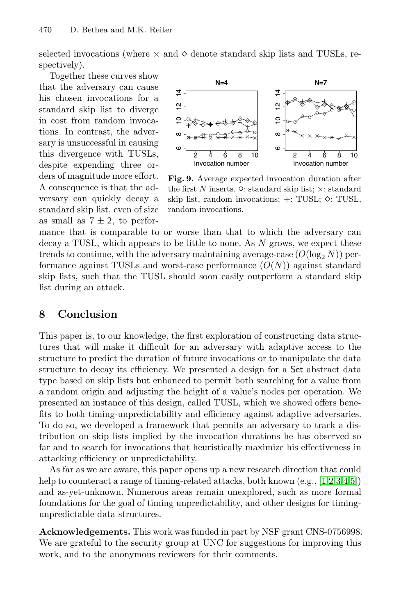selected invocations (where  $\times$  and  $\diamond$  denote standard skip lists and TUSLs, respectively).

Together these curves show that the adversary can cause his chosen invocations for a standard skip list to diverge in cost from random invocations. In contrast, the adversary is unsuccessful in causing this divergence with TUSLs, despite expending three orders of magnitude more effort. A consequence is that the adversary can quickly decay a standard skip list, even of size as small as  $7 \pm 2$ , to perfor-

<span id="page-14-0"></span>

**Fig. 9.** Average expected invocation duration after the first *N* inserts. ○: standard skip list; *×*: standard skip list, random invocations;  $+$ : TUSL;  $\diamond$ : TUSL, random invocations.

mance that is comparable to or worse than that to which the adversary can decay a TUSL, which appears to be little to none. As N grows, we expect these trends to continue, with the adversary maintaining average-case  $(O(\log_2 N))$  performance against TUSLs and worst-case performance  $(O(N))$  against standard skip lists, such that the TUSL should soon easily outperform a standard skip list during an attack.

### **8 Conclusion**

This paper is, to our knowledge, the first exploration of constructing data structures that will make it difficult for an adversary with adaptive access to the structure to predict the duration of future invocations or to manipulate the data structure to decay its efficiency. We presented a design for a Set abstract data type based on skip lists but enhanced to permit both searching for a value from a random origin and adjusting the height of a val[ue](#page-15-12)['s](#page-15-13) [n](#page-15-9)[o](#page-15-14)[de](#page-15-15)s per operation. We presented an instance of this design, called TUSL, which we showed offers benefits to both timing-unpredictability and efficiency against adaptive adversaries. To do so, we developed a framework that permits an adversary to track a distribution on skip lists implied by the invocation durations he has observed so far and to search for invocations that heuristically maximize his effectiveness in attacking efficiency or unpredictability.

As far as we are aware, this paper opens up a new research direction that could help to counteract a range of timing-related attacks, both known (e.g., [1,2,3,4,5]) and as-yet-unknown. Numerous areas remain unexplored, such as more formal foundations for the goal of timing unpredictability, and other designs for timingunpredictable data structures.

**Acknowledgements.** This work was funded in part by NSF grant CNS-0756998. We are grateful to the security group at UNC for suggestions for improving this work, and to the anonymous reviewers for their comments.